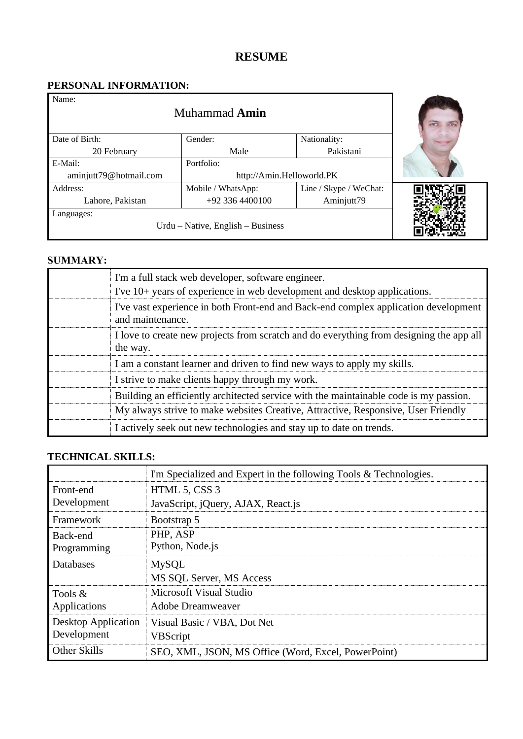# **RESUME**

## **PERSONAL INFORMATION:**

| Name:<br>Muhammad <b>Amin</b>                   |                           |                        |  |
|-------------------------------------------------|---------------------------|------------------------|--|
| Date of Birth:                                  | Nationality:<br>Gender:   |                        |  |
| 20 February                                     | Male                      | Pakistani              |  |
| E-Mail:                                         | Portfolio:                |                        |  |
| aminjutt79@hotmail.com                          | http://Amin.Helloworld.PK |                        |  |
| Address:                                        | Mobile / WhatsApp:        | Line / Skype / WeChat: |  |
| Lahore, Pakistan                                | $+92$ 336 4400100         | Aminjutt79             |  |
| Languages:<br>Urdu – Native, English – Business |                           |                        |  |

### **SUMMARY:**

| I'm a full stack web developer, software engineer.<br>I've 10+ years of experience in web development and desktop applications. |
|---------------------------------------------------------------------------------------------------------------------------------|
| I've vast experience in both Front-end and Back-end complex application development<br>and maintenance.                         |
| I love to create new projects from scratch and do everything from designing the app all<br>the way.                             |
| I am a constant learner and driven to find new ways to apply my skills.                                                         |
| I strive to make clients happy through my work.                                                                                 |
| Building an efficiently architected service with the maintainable code is my passion.                                           |
| My always strive to make websites Creative, Attractive, Responsive, User Friendly                                               |
| I actively seek out new technologies and stay up to date on trends.                                                             |

## **TECHNICAL SKILLS:**

|                            | I'm Specialized and Expert in the following Tools & Technologies. |
|----------------------------|-------------------------------------------------------------------|
| Front-end                  | HTML 5, CSS 3                                                     |
| Development                | JavaScript, jQuery, AJAX, React.js                                |
| Framework                  | Bootstrap 5                                                       |
| Back-end                   | PHP, ASP                                                          |
| Programming                | Python, Node.js                                                   |
| Databases                  | <b>MySQL</b>                                                      |
|                            | MS SQL Server, MS Access                                          |
| Tools $\&$                 | Microsoft Visual Studio                                           |
| Applications               | <b>Adobe Dreamweaver</b>                                          |
| <b>Desktop Application</b> | Visual Basic / VBA, Dot Net                                       |
| Development                | <b>VBScript</b>                                                   |
| Other Skills               | SEO, XML, JSON, MS Office (Word, Excel, PowerPoint)               |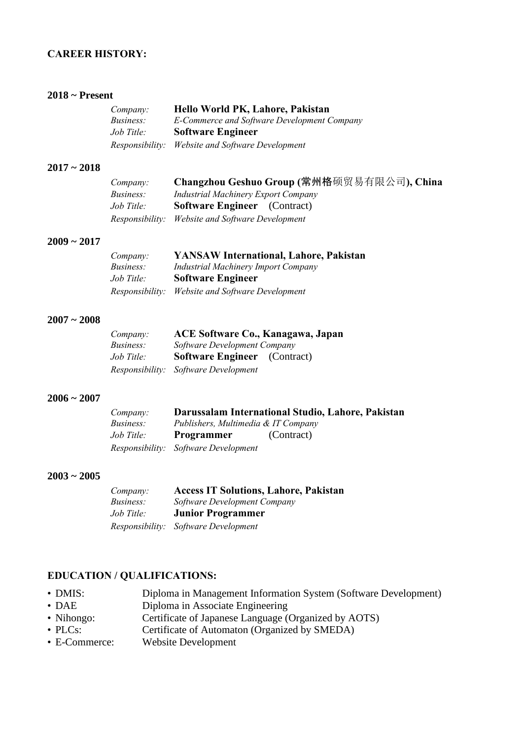### **CAREER HISTORY:**

#### **2018 ~ Present**

| Company:                                                        | Hello World PK, Lahore, Pakistan                 |  |
|-----------------------------------------------------------------|--------------------------------------------------|--|
| E-Commerce and Software Development Company<br><i>Business:</i> |                                                  |  |
| Job Title:                                                      | <b>Software Engineer</b>                         |  |
|                                                                 | Responsibility: Website and Software Development |  |

#### **2017 ~ 2018**

| Company:         | Changzhou Geshuo Group (常州格硕贸易有限公司), China       |
|------------------|--------------------------------------------------|
| <i>Business:</i> | <b>Industrial Machinery Export Company</b>       |
| Job Title:       | <b>Software Engineer</b> (Contract)              |
|                  | Responsibility: Website and Software Development |

#### **2009 ~ 2017**

| Company:   | <b>YANSAW International, Lahore, Pakistan</b>    |
|------------|--------------------------------------------------|
| Business:  | Industrial Machinery Import Company              |
| Job Title: | <b>Software Engineer</b>                         |
|            | Responsibility: Website and Software Development |

#### **2007 ~ 2008**

| Compan:          | ACE Software Co., Kanagawa, Japan<br>Software Development Company |  |  |
|------------------|-------------------------------------------------------------------|--|--|
| <i>Business:</i> |                                                                   |  |  |
| Job Title:       | <b>Software Engineer</b> (Contract)                               |  |  |
|                  | Responsibility: Software Development                              |  |  |

#### **2006 ~ 2007**

| <i>Company:</i>  |                                      | Darussalam International Studio, Lahore, Pakistan |  |
|------------------|--------------------------------------|---------------------------------------------------|--|
| <i>Business:</i> | Publishers, Multimedia & IT Company  |                                                   |  |
| Job Title:       | Programmer                           | (Contract)                                        |  |
|                  | Responsibility: Software Development |                                                   |  |

#### **2003 ~ 2005**

| Company:   | <b>Access IT Solutions, Lahore, Pakistan</b> |
|------------|----------------------------------------------|
| Business:  | Software Development Company                 |
| Job Title: | <b>Junior Programmer</b>                     |
|            | Responsibility: Software Development         |

### **EDUCATION / QUALIFICATIONS:**

- DMIS: Diploma in Management Information System (Software Development)
- DAE Diploma in Associate Engineering
- Nihongo: Certificate of Japanese Language (Organized by AOTS)
- PLCs: Certificate of Automaton (Organized by SMEDA)
- E-Commerce: Website Development